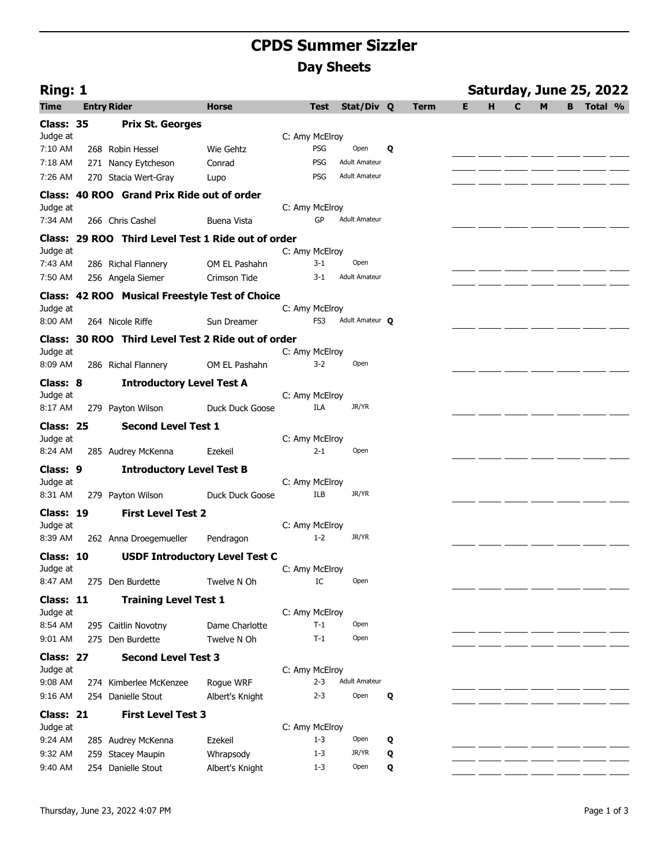## **CPDS Summer Sizzler Day Sheets**

| Ring: 1              |                                                    |                 |                |             |                      |   |             |   |   |              |   |   | Saturday, June 25, 2022 |  |
|----------------------|----------------------------------------------------|-----------------|----------------|-------------|----------------------|---|-------------|---|---|--------------|---|---|-------------------------|--|
| <b>Time</b>          | <b>Entry Rider</b>                                 | <b>Horse</b>    |                | <b>Test</b> | Stat/Div Q           |   | <b>Term</b> | E | н | $\mathbf{C}$ | M | B | Total %                 |  |
| Class: 35            | <b>Prix St. Georges</b>                            |                 |                |             |                      |   |             |   |   |              |   |   |                         |  |
| Judge at             |                                                    |                 | C: Amy McElroy |             |                      |   |             |   |   |              |   |   |                         |  |
| 7:10 AM              | 268 Robin Hessel                                   | Wie Gehtz       |                | <b>PSG</b>  | Open                 | Q |             |   |   |              |   |   |                         |  |
| 7:18 AM              | 271 Nancy Eytcheson                                | Conrad          |                | PSG         | <b>Adult Amateur</b> |   |             |   |   |              |   |   |                         |  |
| 7:26 AM              | 270 Stacia Wert-Gray                               | Lupo            |                | <b>PSG</b>  | <b>Adult Amateur</b> |   |             |   |   |              |   |   |                         |  |
|                      | Class: 40 ROO Grand Prix Ride out of order         |                 |                |             |                      |   |             |   |   |              |   |   |                         |  |
| Judge at             |                                                    |                 | C: Amy McElroy |             |                      |   |             |   |   |              |   |   |                         |  |
| 7:34 AM              | 266 Chris Cashel                                   | Buena Vista     |                | GP          | <b>Adult Amateur</b> |   |             |   |   |              |   |   |                         |  |
|                      | Class: 29 ROO Third Level Test 1 Ride out of order |                 |                |             |                      |   |             |   |   |              |   |   |                         |  |
| Judge at             |                                                    |                 | C: Amy McElroy |             | Open                 |   |             |   |   |              |   |   |                         |  |
| 7:43 AM              | 286 Richal Flannery                                | OM EL Pashahn   |                | $3 - 1$     | <b>Adult Amateur</b> |   |             |   |   |              |   |   |                         |  |
| 7:50 AM              | 256 Angela Siemer                                  | Crimson Tide    |                | 3-1         |                      |   |             |   |   |              |   |   |                         |  |
|                      | Class: 42 ROO Musical Freestyle Test of Choice     |                 |                |             |                      |   |             |   |   |              |   |   |                         |  |
| Judge at<br>8:00 AM  | 264 Nicole Riffe                                   | Sun Dreamer     | C: Amy McElroy | FS3         | Adult Amateur Q      |   |             |   |   |              |   |   |                         |  |
|                      |                                                    |                 |                |             |                      |   |             |   |   |              |   |   |                         |  |
| Judge at             | Class: 30 ROO Third Level Test 2 Ride out of order |                 | C: Amy McElroy |             |                      |   |             |   |   |              |   |   |                         |  |
| 8:09 AM              | 286 Richal Flannery                                | OM EL Pashahn   |                | $3-2$       | Open                 |   |             |   |   |              |   |   |                         |  |
|                      |                                                    |                 |                |             |                      |   |             |   |   |              |   |   |                         |  |
| Class: 8<br>Judge at | <b>Introductory Level Test A</b>                   |                 | C: Amy McElroy |             |                      |   |             |   |   |              |   |   |                         |  |
| 8:17 AM              | 279 Payton Wilson                                  | Duck Duck Goose |                | ILA         | JR/YR                |   |             |   |   |              |   |   |                         |  |
| Class: 25            | <b>Second Level Test 1</b>                         |                 |                |             |                      |   |             |   |   |              |   |   |                         |  |
| Judge at             |                                                    |                 | C: Amy McElroy |             |                      |   |             |   |   |              |   |   |                         |  |
| 8:24 AM              | 285 Audrey McKenna                                 | Ezekeil         |                | 2-1         | Open                 |   |             |   |   |              |   |   |                         |  |
| Class: 9             | <b>Introductory Level Test B</b>                   |                 |                |             |                      |   |             |   |   |              |   |   |                         |  |
| Judge at             |                                                    |                 | C: Amy McElroy |             |                      |   |             |   |   |              |   |   |                         |  |
| 8:31 AM              | 279 Payton Wilson                                  | Duck Duck Goose |                | <b>ILB</b>  | JR/YR                |   |             |   |   |              |   |   |                         |  |
| Class: 19            | <b>First Level Test 2</b>                          |                 |                |             |                      |   |             |   |   |              |   |   |                         |  |
| Judge at             |                                                    |                 | C: Amy McElroy |             |                      |   |             |   |   |              |   |   |                         |  |
| 8:39 AM              | 262 Anna Droegemueller                             | Pendragon       |                | $1 - 2$     | JR/YR                |   |             |   |   |              |   |   |                         |  |
| Class: 10            | <b>USDF Introductory Level Test C</b>              |                 |                |             |                      |   |             |   |   |              |   |   |                         |  |
| Judge at             |                                                    |                 | C: Amy McElroy |             |                      |   |             |   |   |              |   |   |                         |  |
| 8:47 AM              | 275 Den Burdette                                   | Twelve N Oh     |                | IC          | Open                 |   |             |   |   |              |   |   |                         |  |
| Class: 11            | <b>Training Level Test 1</b>                       |                 |                |             |                      |   |             |   |   |              |   |   |                         |  |
| Judge at             |                                                    |                 | C: Amy McElroy |             |                      |   |             |   |   |              |   |   |                         |  |
| 8:54 AM              | 295 Caitlin Novotny                                | Dame Charlotte  |                | $T-1$       | Open                 |   |             |   |   |              |   |   |                         |  |
| 9:01 AM              | 275 Den Burdette                                   | Twelve N Oh     |                | $T-1$       | Open                 |   |             |   |   |              |   |   |                         |  |
| Class: 27            | <b>Second Level Test 3</b>                         |                 |                |             |                      |   |             |   |   |              |   |   |                         |  |
| Judge at             |                                                    |                 | C: Amy McElroy |             |                      |   |             |   |   |              |   |   |                         |  |
| 9:08 AM              | 274 Kimberlee McKenzee                             | Roque WRF       |                | $2 - 3$     | <b>Adult Amateur</b> |   |             |   |   |              |   |   |                         |  |
| 9:16 AM              | 254 Danielle Stout                                 | Albert's Knight |                | $2 - 3$     | Open                 | Q |             |   |   |              |   |   |                         |  |
| Class: 21            | <b>First Level Test 3</b>                          |                 |                |             |                      |   |             |   |   |              |   |   |                         |  |
| Judge at<br>9:24 AM  | 285 Audrey McKenna                                 | Ezekeil         | C: Amy McElroy | $1 - 3$     | Open                 | Q |             |   |   |              |   |   |                         |  |
| 9:32 AM              | 259 Stacey Maupin                                  | Whrapsody       |                | $1 - 3$     | JR/YR                | Q |             |   |   |              |   |   |                         |  |
| 9:40 AM              | 254 Danielle Stout                                 | Albert's Knight |                | $1 - 3$     | Open                 | Q |             |   |   |              |   |   |                         |  |
|                      |                                                    |                 |                |             |                      |   |             |   |   |              |   |   |                         |  |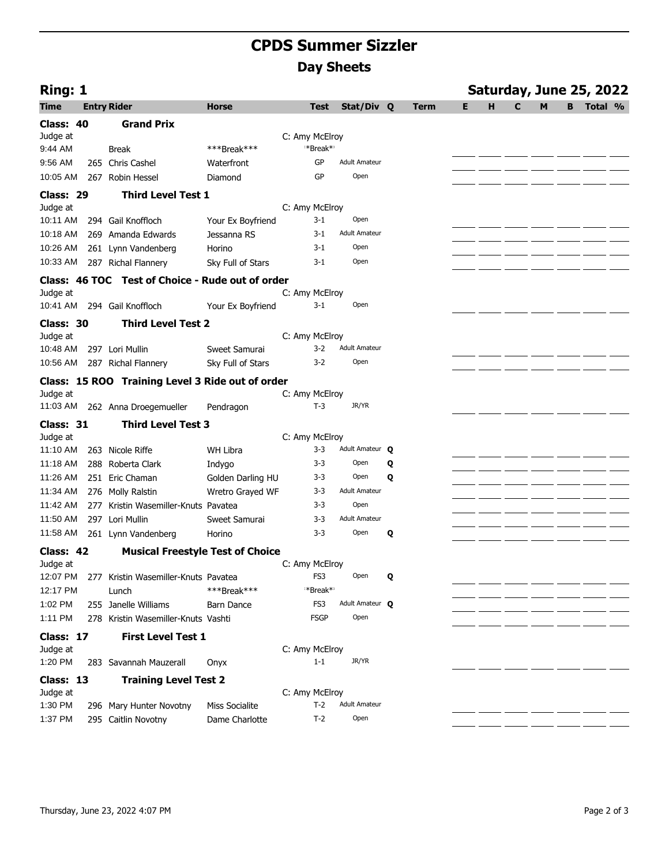## **CPDS Summer Sizzler Day Sheets**

| Ring: 1   |                                                  |                       |                      |                      |   |             | Saturday, June 25, 2022 |   |              |   |   |         |  |  |
|-----------|--------------------------------------------------|-----------------------|----------------------|----------------------|---|-------------|-------------------------|---|--------------|---|---|---------|--|--|
| Time      | <b>Entry Rider</b>                               | <b>Horse</b>          | <b>Test</b>          | Stat/Div Q           |   | <b>Term</b> | Е                       | н | $\mathbf{C}$ | M | B | Total % |  |  |
| Class: 40 | <b>Grand Prix</b>                                |                       |                      |                      |   |             |                         |   |              |   |   |         |  |  |
| Judge at  |                                                  |                       | C: Amy McElroy       |                      |   |             |                         |   |              |   |   |         |  |  |
| 9:44 AM   | <b>Break</b>                                     | ***Break***           | *Break* <sup>*</sup> |                      |   |             |                         |   |              |   |   |         |  |  |
| 9:56 AM   | 265 Chris Cashel                                 | Waterfront            | GP                   | <b>Adult Amateur</b> |   |             |                         |   |              |   |   |         |  |  |
| 10:05 AM  | 267 Robin Hessel                                 | Diamond               | GP                   | Open                 |   |             |                         |   |              |   |   |         |  |  |
| Class: 29 | <b>Third Level Test 1</b>                        |                       |                      |                      |   |             |                         |   |              |   |   |         |  |  |
| Judge at  |                                                  |                       | C: Amy McElroy       |                      |   |             |                         |   |              |   |   |         |  |  |
| 10:11 AM  | 294 Gail Knoffloch                               | Your Ex Boyfriend     | $3 - 1$              | Open                 |   |             |                         |   |              |   |   |         |  |  |
| 10:18 AM  | 269 Amanda Edwards                               | Jessanna RS           | $3 - 1$              | <b>Adult Amateur</b> |   |             |                         |   |              |   |   |         |  |  |
| 10:26 AM  | 261 Lynn Vandenberg                              | Horino                | $3-1$                | Open                 |   |             |                         |   |              |   |   |         |  |  |
| 10:33 AM  | 287 Richal Flannery                              | Sky Full of Stars     | $3-1$                | Open                 |   |             |                         |   |              |   |   |         |  |  |
|           | Class: 46 TOC Test of Choice - Rude out of order |                       |                      |                      |   |             |                         |   |              |   |   |         |  |  |
| Judge at  |                                                  |                       | C: Amy McElroy       |                      |   |             |                         |   |              |   |   |         |  |  |
| 10:41 AM  | 294 Gail Knoffloch                               | Your Ex Boyfriend     | 3-1                  | Open                 |   |             |                         |   |              |   |   |         |  |  |
| Class: 30 | <b>Third Level Test 2</b>                        |                       |                      |                      |   |             |                         |   |              |   |   |         |  |  |
| Judge at  |                                                  |                       | C: Amy McElroy       |                      |   |             |                         |   |              |   |   |         |  |  |
| 10:48 AM  | 297 Lori Mullin                                  | Sweet Samurai         | $3-2$                | <b>Adult Amateur</b> |   |             |                         |   |              |   |   |         |  |  |
| 10:56 AM  | 287 Richal Flannery                              | Sky Full of Stars     | $3-2$                | Open                 |   |             |                         |   |              |   |   |         |  |  |
|           | Class: 15 ROO Training Level 3 Ride out of order |                       |                      |                      |   |             |                         |   |              |   |   |         |  |  |
| Judge at  |                                                  |                       | C: Amy McElroy       |                      |   |             |                         |   |              |   |   |         |  |  |
| 11:03 AM  | 262 Anna Droegemueller                           | Pendragon             | $T-3$                | JR/YR                |   |             |                         |   |              |   |   |         |  |  |
| Class: 31 | <b>Third Level Test 3</b>                        |                       |                      |                      |   |             |                         |   |              |   |   |         |  |  |
| Judge at  |                                                  |                       | C: Amy McElroy       |                      |   |             |                         |   |              |   |   |         |  |  |
| 11:10 AM  | 263 Nicole Riffe                                 | <b>WH Libra</b>       | $3 - 3$              | Adult Amateur Q      |   |             |                         |   |              |   |   |         |  |  |
| 11:18 AM  | 288 Roberta Clark                                | Indygo                | $3 - 3$              | Open                 | Q |             |                         |   |              |   |   |         |  |  |
| 11:26 AM  | 251 Eric Chaman                                  | Golden Darling HU     | 3-3                  | Open                 | Q |             |                         |   |              |   |   |         |  |  |
| 11:34 AM  | 276 Molly Ralstin                                | Wretro Grayed WF      | $3 - 3$              | <b>Adult Amateur</b> |   |             |                         |   |              |   |   |         |  |  |
| 11:42 AM  | 277 Kristin Wasemiller-Knuts Pavatea             |                       | $3 - 3$              | Open                 |   |             |                         |   |              |   |   |         |  |  |
| 11:50 AM  | 297 Lori Mullin                                  | Sweet Samurai         | $3 - 3$              | <b>Adult Amateur</b> |   |             |                         |   |              |   |   |         |  |  |
| 11:58 AM  | 261 Lynn Vandenberg                              | Horino                | $3 - 3$              | Open                 | Q |             |                         |   |              |   |   |         |  |  |
| Class: 42 | <b>Musical Freestyle Test of Choice</b>          |                       |                      |                      |   |             |                         |   |              |   |   |         |  |  |
| Judge at  |                                                  |                       | C: Amy McElroy       |                      |   |             |                         |   |              |   |   |         |  |  |
| 12:07 PM  | 277 Kristin Wasemiller-Knuts Pavatea             |                       | FS3                  | Open                 | Q |             |                         |   |              |   |   |         |  |  |
| 12:17 PM  | Lunch                                            | ***Break***           | *Break* <sup>*</sup> |                      |   |             |                         |   |              |   |   |         |  |  |
| 1:02 PM   | 255 Janelle Williams                             | Barn Dance            | FS3                  | Adult Amateur O      |   |             |                         |   |              |   |   |         |  |  |
| 1:11 PM   | 278 Kristin Wasemiller-Knuts Vashti              |                       | <b>FSGP</b>          | Open                 |   |             |                         |   |              |   |   |         |  |  |
| Class: 17 | <b>First Level Test 1</b>                        |                       |                      |                      |   |             |                         |   |              |   |   |         |  |  |
| Judge at  |                                                  |                       | C: Amy McElroy       |                      |   |             |                         |   |              |   |   |         |  |  |
| 1:20 PM   | 283 Savannah Mauzerall                           | Onyx                  | $1 - 1$              | JR/YR                |   |             |                         |   |              |   |   |         |  |  |
| Class: 13 | <b>Training Level Test 2</b>                     |                       |                      |                      |   |             |                         |   |              |   |   |         |  |  |
| Judge at  |                                                  |                       | C: Amy McElroy       |                      |   |             |                         |   |              |   |   |         |  |  |
| 1:30 PM   | 296 Mary Hunter Novotny                          | <b>Miss Socialite</b> | $T-2$                | <b>Adult Amateur</b> |   |             |                         |   |              |   |   |         |  |  |
| 1:37 PM   | 295 Caitlin Novotny                              | Dame Charlotte        | $T-2$                | Open                 |   |             |                         |   |              |   |   |         |  |  |